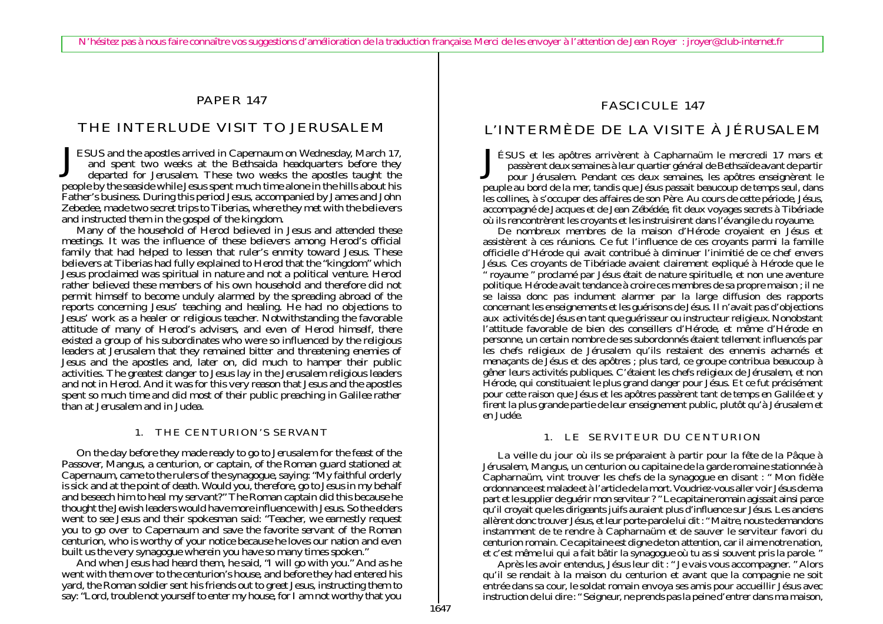# PAPER 147

# THE INTERLUDE VISIT TO JERUSALEM

ESUS and the apostles arrived in Capernaum on Wednesday, March 17, and spent two weeks at the Bethsaida headquarters before they departed for Jerusalem. These two weeks the apostles taught the people by the seaside while Jesus spent much time alone in the hills about his Father's business. During this period Jesus, accompanied by James and John Zebedee, made two secret trips to Tiberias, where they met with the believers and instructed them in the gospel of the kingdom. J

Many of the household of Herod believed in Jesus and attended these meetings. It was the influence of these believers among Herod's official family that had helped to lessen that ruler's enmity toward Jesus. These believers at Tiberias had fully explained to Herod that the "kingdom" which Jesus proclaimed was spiritual in nature and not a political venture. Herod rather believed these members of his own household and therefore did not permit himself to become unduly alarmed by the spreading abroad of the reports concerning Jesus' teaching and healing. He had no objections to Jesus' work as a healer or religious teacher. Notwithstanding the favorable attitude of many of Herod's advisers, and even of Herod himself, there existed a group of his subordinates who were so influenced by the religious leaders at Jerusalem that they remained bitter and threatening enemies of Jesus and the apostles and, later on, did much to hamper their public activities. The greatest danger to Jesus lay in the Jerusalem religious leaders and not in Herod. And it was for this very reason that Jesus and the apostles spent so much time and did most of their public preaching in Galilee rather than at Jerusalem and in Judea.

## 1. THE CENTURION'S SERVANT

On the day before they made ready to go to Jerusalem for the feast of the Passover, Mangus, a centurion, or captain, of the Roman guard stationed at Capernaum, came to the rulers of the synagogue, saying: "My faithful orderly is sick and at the point of death. Would you, therefore, go to Jesus in my behalf and beseech him to heal my servant?" The Roman captain did this because he thought the Jewish leaders would have more influence with Jesus. So the elders went to see Jesus and their spokesman said: "Teacher, we earnestly request you to go over to Capernaum and save the favorite servant of the Roman centurion, who is worthy of your notice because he loves our nation and even built us the very synagogue wherein you have so many times spoken."

And when Jesus had heard them, he said, "I will go with you." And as he went with them over to the centurion's house, and before they had entered his yard, the Roman soldier sent his friends out to greet Jesus, instructing them to say: "Lord, trouble not yourself to enter my house, for I am not worthy that you

# FASCICULE 147

# L'INTERMÈDE DE LA VISITE À JÉRUSALEM

ESUS et les apôtres arrivèrent à Capharnaüm le mercredi 17 mars et passèrent deux semaines à leur quartier général de Bethsaïde avant de partir passèrent deux semaines à leur quartier général de Bethsaïde avant de partir pour Jérusalem. Pendant ces deux semaines, les apôtres enseignèrent le peuple au bord de la mer, tandis que Jésus passait beaucoup de temps seul, dans les collines, à s'occuper des affaires de son Père. Au cours de cette période, Jésus, accompagné de Jacques et de Jean Zébédée, fit deux voyages secrets à Tibériade où ils rencontrèrent les croyants et les instruisirent dans l'évangile du royaume.

De nombreux membres de la maison d'Hérode croyaient en Jésus et assistèrent à ces réunions. Ce fut l'influence de ces croyants parmi la famille officielle d'Hérode qui avait contribué à diminuer l'inimitié de ce chef envers Jésus. Ces croyants de Tibériade avaient clairement expliqué à Hérode que le " royaume " proclamé par Jésus était de nature spirituelle, et non une aventure politique. Hérode avait tendance à croire ces membres de sa propre maison ; il ne se laissa donc pas indument alarmer par la large diffusion des rapports concernant les enseignements et les guérisons de Jésus. Il n'avait pas d'objections aux activités de Jésus en tant que guérisseur ou instructeur religieux. Nonobstant l'attitude favorable de bien des conseillers d'Hérode, et même d'Hérode en personne, un certain nombre de ses subordonnés étaient tellement influencés par les chefs religieux de Jérusalem qu'ils restaient des ennemis acharnés et menaçants de Jésus et des apôtres ; plus tard, ce groupe contribua beaucoup à gêner leurs activités publiques. C'étaient les chefs religieux de Jérusalem, et non Hérode, qui constituaient le plus grand danger pour Jésus. Et ce fut précisément pour cette raison que Jésus et les apôtres passèrent tant de temps en Galilée et y firent la plus grande partie de leur enseignement public, plutôt qu'à Jérusalem et en Judée.

#### 1. LE SERVITEUR DU CENTURION

La veille du jour où ils se préparaient à partir pour la fête de la Pâque à Jérusalem, Mangus, un centurion ou capitaine de la garde romaine stationnée à Capharnaüm, vint trouver les chefs de la synagogue en disant : " Mon fidèle ordonnance est malade et à l'article de la mort. Voudriez-vous aller voir Jésus de ma part et le supplier de guérir mon serviteur ? " Le capitaine romain agissait ainsi parce qu'il croyait que les dirigeants juifs auraient plus d'influence sur Jésus. Les anciens allèrent donc trouver Jésus, et leur porte-parole lui dit : " Maitre, nous te demandons instamment de te rendre à Capharnaüm et de sauver le serviteur favori du centurion romain. Ce capitaine est digne de ton attention, car il aime notre nation, et c'est même lui qui a fait bâtir la synagogue où tu as si souvent pris la parole. "

Après les avoir entendus, Jésus leur dit : " Je vais vous accompagner. " Alors qu'il se rendait à la maison du centurion et avant que la compagnie ne soit entrée dans sa cour, le soldat romain envoya ses amis pour accueillir Jésus avec instruction de lui dire : " Seigneur, ne prends pas la peine d'entrer dans ma maison,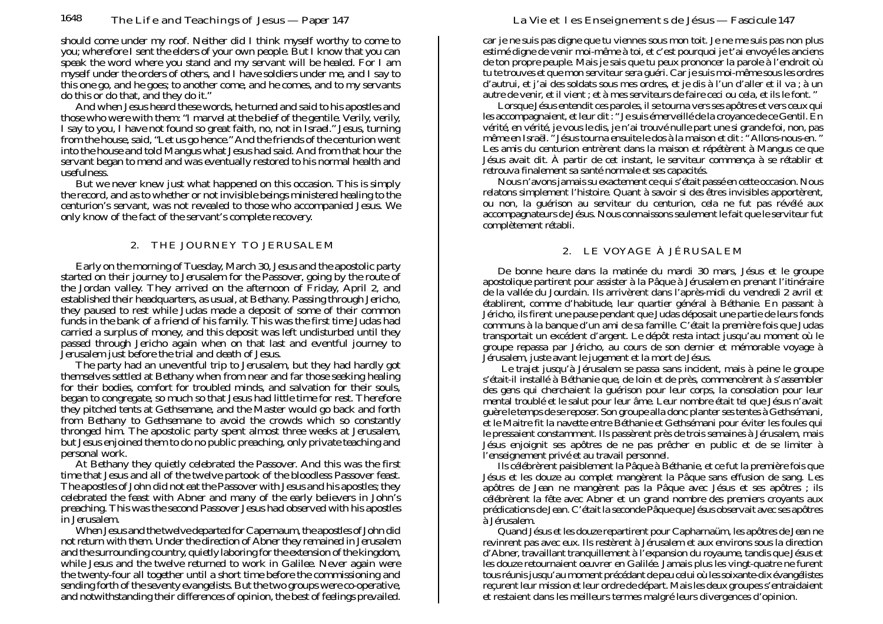should come under my roof. Neither did I think myself worthy to come to you; wherefore I sent the elders of your own people. But I know that you can speak the word where you stand and my servant will be healed. For I am myself under the orders of others, and I have soldiers under me, and I say to this one go, and he goes; to another come, and he comes, and to my servants do this or do that, and they do it."

And when Jesus heard these words, he turned and said to his apostles and those who were with them: "I marvel at the belief of the gentile. Verily, verily, I say to you, I have not found so great faith, no, not in Israel." Jesus, turning from the house, said, "Let us go hence." And the friends of the centurion went into the house and told Mangus what Jesus had said. And from that hour the servant began to mend and was eventually restored to his normal health and usefulness.

But we never knew just what happened on this occasion. This is simply the record, and as to whether or not invisible beings ministered healing to the centurion's servant, was not revealed to those who accompanied Jesus. We only know of the fact of the servant's complete recovery.

#### 2. THE JOURNEY TO JERUSALEM

Early on the morning of Tuesday, March 30, Jesus and the apostolic party started on their journey to Jerusalem for the Passover, going by the route of the Jordan valley. They arrived on the afternoon of Friday, April 2, and established their headquarters, as usual, at Bethany. Passing through Jericho, they paused to rest while Judas made a deposit of some of their common funds in the bank of a friend of his family. This was the first time Judas had carried a surplus of money, and this deposit was left undisturbed until they passed through Jericho again when on that last and eventful journey to Jerusalem just before the trial and death of Jesus.

The party had an uneventful trip to Jerusalem, but they had hardly got themselves settled at Bethany when from near and far those seeking healing for their bodies, comfort for troubled minds, and salvation for their souls, began to congregate, so much so that Jesus had little time for rest. Therefore they pitched tents at Gethsemane, and the Master would go back and forth from Bethany to Gethsemane to avoid the crowds which so constantly thronged him. The apostolic party spent almost three weeks at Jerusalem, but Jesus enjoined them to do no public preaching, only private teaching and personal work.

At Bethany they quietly celebrated the Passover. And this was the first time that Jesus and all of the twelve partook of the bloodless Passover feast. The apostles of John did not eat the Passover with Jesus and his apostles; they celebrated the feast with Abner and many of the early believers in John's preaching. This was the second Passover Jesus had observed with his apostles in Jerusalem.

When Jesus and the twelve departed for Capernaum, the apostles of John did not return with them. Under the direction of Abner they remained in Jerusalem and the surrounding country, quietly laboring for the extension of the kingdom, while Jesus and the twelve returned to work in Galilee. Never again were the twenty-four all together until a short time before the commissioning and sending forth of the seventy evangelists. But the two groups were co-operative, and notwithstanding their differences of opinion, the best of feelings prevailed.

car je ne suis pas digne que tu viennes sous mon toit. Je ne me suis pas non plus estimé digne de venir moi-même à toi, et c'est pourquoi je t'ai envoyé les anciens de ton propre peuple. Mais je sais que tu peux prononcer la parole à l'endroit où tu te trouves et que mon serviteur sera guéri. Car je suis moi-même sous les ordres d'autrui, et j'ai des soldats sous mes ordres, et je dis à l'un d'aller et il va ; à un autre de venir, et il vient ; et à mes serviteurs de faire ceci ou cela, et ils le font. "

Lorsque Jésus entendit ces paroles, il se tourna vers ses apôtres et vers ceux qui les accompagnaient, et leur dit : " Je suis émerveillé de la croyance de ce Gentil. En vérité, en vérité, je vous le dis, je n'ai trouvé nulle part une si grande foi, non, pas même en Israël. " Jésus tourna ensuite le dos à la maison et dit : " Allons-nous-en. " Les amis du centurion entrèrent dans la maison et répétèrent à Mangus ce que Jésus avait dit. À partir de cet instant, le serviteur commença à se rétablir et retrouva finalement sa santé normale et ses capacités.

Nous n'avons jamais su exactement ce qui s'était passé en cette occasion. Nous relatons simplement l'histoire. Quant à savoir si des êtres invisibles apportèrent, ou non, la guérison au serviteur du centurion, cela ne fut pas révélé aux accompagnateurs de Jésus. Nous connaissons seulement le fait que le serviteur fut complètement rétabli.

#### 2. LE VOYAGE À JÉRUSALEM

De bonne heure dans la matinée du mardi 30 mars, Jésus et le groupe apostolique partirent pour assister à la Pâque à Jérusalem en prenant l'itinéraire de la vallée du Jourdain. Ils arrivèrent dans l'après-midi du vendredi 2 avril et établirent, comme d'habitude, leur quartier général à Béthanie. En passant à Jéricho, ils firent une pause pendant que Judas déposait une partie de leurs fonds communs à la banque d'un ami de sa famille. C'était la première fois que Judas transportait un excédent d'argent. Le dépôt resta intact jusqu'au moment où le groupe repassa par Jéricho, au cours de son dernier et mémorable voyage à Jérusalem, juste avant le jugement et la mort de Jésus.

Le trajet jusqu'à Jérusalem se passa sans incident, mais à peine le groupe <sup>s</sup>'était-il installé à Béthanie que, de loin et de près, commencèrent à s'assembler des gens qui cherchaient la guérison pour leur corps, la consolation pour leur mental troublé et le salut pour leur âme. Leur nombre était tel que Jésus n'avait guère le temps de se reposer. Son groupe alla donc planter ses tentes à Gethsémani, et le Maitre fit la navette entre Béthanie et Gethsémani pour éviter les foules qui le pressaient constamment. Ils passèrent près de trois semaines à Jérusalem, mais Jésus enjoignit ses apôtres de ne pas prêcher en public et de se limiter à l'enseignement privé et au travail personnel.

Ils célébrèrent paisiblement la Pâque à Béthanie, et ce fut la première fois que Jésus et les douze au complet mangèrent la Pâque sans effusion de sang. Les apôtres de Jean ne mangèrent pas la Pâque avec Jésus et ses apôtres ; ils célébrèrent la fête avec Abner et un grand nombre des premiers croyants aux prédications de Jean. C'était la seconde Pâque que Jésus observait avec ses apôtres à Jérusalem.

Quand Jésus et les douze repartirent pour Capharnaüm, les apôtres de Jean ne revinrent pas avec eux. Ils restèrent à Jérusalem et aux environs sous la direction d'Abner, travaillant tranquillement à l'expansion du royaume, tandis que Jésus et les douze retournaient oeuvrer en Galilée. Jamais plus les vingt-quatre ne furent tous réunis jusqu'au moment précédant de peu celui où les soixante-dix évangélistes reçurent leur mission et leur ordre de départ. Mais les deux groupes s'entraidaient et restaient dans les meilleurs termes malgré leurs divergences d'opinion.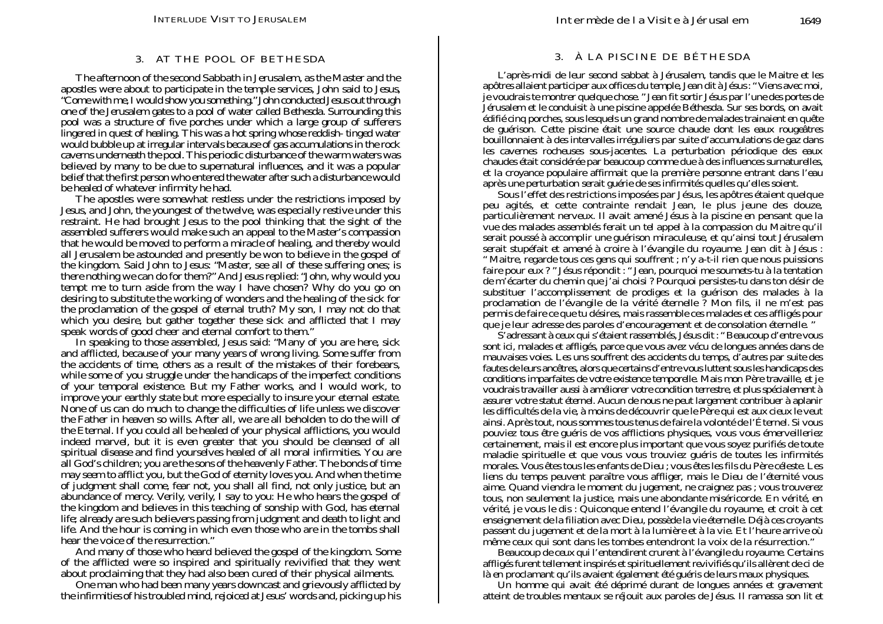#### 3. AT THE POOL OF BETHESDA

The afternoon of the second Sabbath in Jerusalem, as the Master and the apostles were about to participate in the temple services, John said to Jesus, "Come with me, I would show you something." John conducted Jesus out through one of the Jerusalem gates to a pool of water called Bethesda. Surrounding this pool was a structure of five porches under which a large group of sufferers lingered in quest of healing. This was a hot spring whose reddish- tinged water would bubble up at irregular intervals because of gas accumulations in the rock caverns underneath the pool. This periodic disturbance of the warm waters was believed by many to be due to supernatural influences, and it was a popular belief that the first person who entered the water after such a disturbance would be healed of whatever infirmity he had.

The apostles were somewhat restless under the restrictions imposed by Jesus, and John, the youngest of the twelve, was especially restive under this restraint. He had brought Jesus to the pool thinking that the sight of the assembled sufferers would make such an appeal to the Master's compassion that he would be moved to perform a miracle of healing, and thereby would all Jerusalem be astounded and presently be won to believe in the gospel of the kingdom. Said John to Jesus: "Master, see all of these suffering ones; is there nothing we can do for them?" And Jesus replied: "John, why would you tempt me to turn aside from the way I have chosen? Why do you go on desiring to substitute the working of wonders and the healing of the sick for the proclamation of the gospel of eternal truth? My son, I may not do that which you desire, but gather together these sick and afflicted that I may speak words of good cheer and eternal comfort to them."

In speaking to those assembled, Jesus said: "Many of you are here, sick and afflicted, because of your many years of wrong living. Some suffer from the accidents of time, others as a result of the mistakes of their forebears, while some of you struggle under the handicaps of the imperfect conditions of your temporal existence. But my Father works, and I would work, to improve your earthly state but more especially to insure your eternal estate. None of us can do much to change the difficulties of life unless we discover the Father in heaven so wills. After all, we are all beholden to do the will of the Eternal. If you could all be healed of your physical afflictions, you would indeed marvel, but it is even greater that you should be cleansed of all spiritual disease and find yourselves healed of all moral infirmities. You are all God's children; you are the sons of the heavenly Father. The bonds of time may seem to afflict you, but the God of eternity loves you. And when the time of judgment shall come, fear not, you shall all find, not only justice, but an abundance of mercy. Verily, verily, I say to you: He who hears the gospel of the kingdom and believes in this teaching of sonship with God, has eternal life; already are such believers passing from judgment and death to light and life. And the hour is coming in which even those who are in the tombs shall hear the voice of the resurrection."

And many of those who heard believed the gospel of the kingdom. Some of the afflicted were so inspired and spiritually revivified that they went about proclaiming that they had also been cured of their physical ailments.

One man who had been many years downcast and grievously afflicted by the infirmities of his troubled mind, rejoiced at Jesus' words and, picking up his

#### 3. À LA PISCINE DE BÉTHESDA

L'après-midi de leur second sabbat à Jérusalem, tandis que le Maitre et les apôtres allaient participer aux offices du temple, Jean dit à Jésus : " Viens avec moi, je voudrais te montrer quelque chose. " Jean fit sortir Jésus par l'une des portes de Jérusalem et le conduisit à une piscine appelée Béthesda. Sur ses bords, on avait édifié cinq porches, sous lesquels un grand nombre de malades trainaient en quête de guérison. Cette piscine était une source chaude dont les eaux rougeâtres bouillonnaient à des intervalles irréguliers par suite d'accumulations de gaz dans les cavernes rocheuses sous-jacentes. La perturbation périodique des eaux chaudes était considérée par beaucoup comme due à des influences surnaturelles, et la croyance populaire affirmait que la première personne entrant dans l'eau après une perturbation serait guérie de ses infirmités quelles qu'elles soient.

Sous l'effet des restrictions imposées par Jésus, les apôtres étaient quelque peu agités, et cette contrainte rendait Jean, le plus jeune des douze, particulièrement nerveux. Il avait amené Jésus à la piscine en pensant que la vue des malades assemblés ferait un tel appel à la compassion du Maitre qu'il serait poussé à accomplir une guérison miraculeuse, et qu'ainsi tout Jérusalem serait stupéfait et amené à croire à l'évangile du royaume. Jean dit à Jésus : " Maitre, regarde tous ces gens qui souffrent ; n'y a-t-il rien que nous puissions faire pour eux ? " Jésus répondit : " Jean, pourquoi me soumets-tu à la tentation de m'écarter du chemin que j'ai choisi ? Pourquoi persistes-tu dans ton désir de substituer l'accomplissement de prodiges et la guérison des malades à la proclamation de l'évangile de la vérité éternelle ? Mon fils, il ne m'est pas permis de faire ce que tu désires, mais rassemble ces malades et ces affligés pour que je leur adresse des paroles d'encouragement et de consolation éternelle. "

S'adressant à ceux qui s'étaient rassemblés, Jésus dit : " Beaucoup d'entre vous sont ici, malades et affligés, parce que vous avez vécu de longues années dans de mauvaises voies. Les uns souffrent des accidents du temps, d'autres par suite des fautes de leurs ancêtres, alors que certains d'entre vous luttent sous les handicaps des conditions imparfaites de votre existence temporelle. Mais mon Père travaille, et je voudrais travailler aussi à améliorer votre condition terrestre, et plus spécialement à assurer votre statut éternel. Aucun de nous ne peut largement contribuer à aplanir les difficultés de la vie, à moins de découvrir que le Père qui est aux cieux le veut ainsi. Après tout, nous sommes tous tenus de faire la volonté de l'Éternel. Si vous pouviez tous être guéris de vos afflictions physiques, vous vous émerveilleriez certainement, mais il est encore plus important que vous soyez purifiés de toute maladie spirituelle et que vous vous trouviez guéris de toutes les infirmités morales. Vous êtes tous les enfants de Dieu ; vous êtes les fils du Père céleste. Les liens du temps peuvent paraître vous affliger, mais le Dieu de l'éternité vous aime. Quand viendra le moment du jugement, ne craignez pas ; vous trouverez tous, non seulement la justice, mais une abondante miséricorde. En vérité, en vérité, je vous le dis : Quiconque entend l'évangile du royaume, et croit à cet enseignement de la filiation avec Dieu, possède la vie éternelle. Déjà ces croyants passent du jugement et de la mort à la lumière et à la vie. Et l'heure arrive où même ceux qui sont dans les tombes entendront la voix de la résurrection."

Beaucoup de ceux qui l'entendirent crurent à l'évangile du royaume. Certains affligés furent tellement inspirés et spirituellement revivifiés qu'ils allèrent de ci de là en proclamant qu'ils avaient également été guéris de leurs maux physiques.

Un homme qui avait été déprimé durant de longues années et gravement atteint de troubles mentaux se réjouit aux paroles de Jésus. Il ramassa son lit et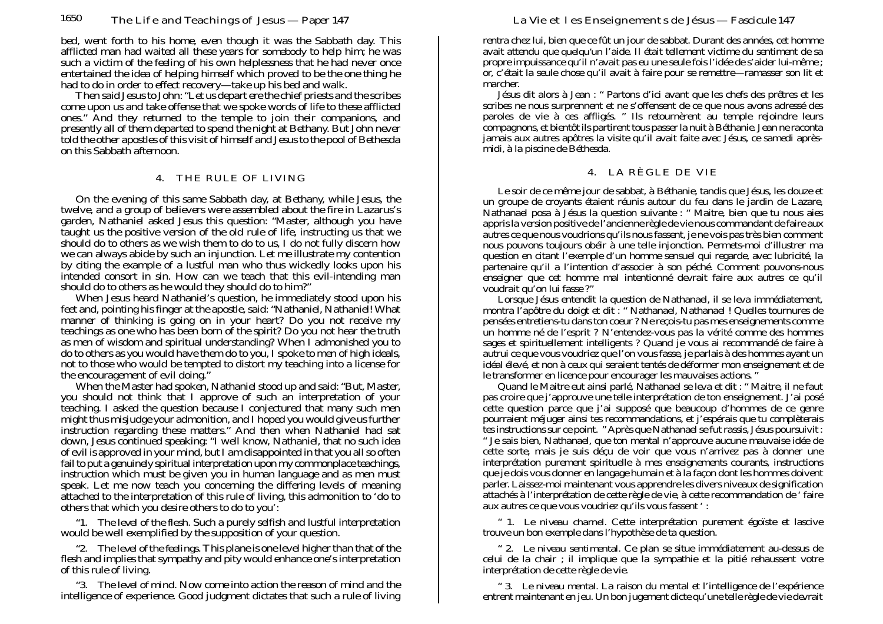bed, went forth to his home, even though it was the Sabbath day. This afflicted man had waited all these years for *somebody* to help him; he was such a victim of the feeling of his own helplessness that he had never once entertained the idea of helping himself which proved to be the one thing he had to do in order to effect recovery—take up his bed and walk.

Then said Jesus to John: "Let us depart ere the chief priests and the scribes come upon us and take offense that we spoke words of life to these afflicted ones." And they returned to the temple to join their companions, and presently all of them departed to spend the night at Bethany. But John never told the other apostles of this visit of himself and Jesus to the pool of Bethesda on this Sabbath afternoon.

#### 4. THE RULE OF LIVING

On the evening of this same Sabbath day, at Bethany, while Jesus, the twelve, and a group of believers were assembled about the fire in Lazarus's garden, Nathaniel asked Jesus this question: "Master, although you have taught us the positive version of the old rule of life, instructing us that we should do to others as we wish them to do to us, I do not fully discern how we can always abide by such an injunction. Let me illustrate my contention by citing the example of a lustful man who thus wickedly looks upon his intended consort in sin. How can we teach that this evil-intending man should do to others as he would they should do to him?"

When Jesus heard Nathaniel's question, he immediately stood upon his feet and, pointing his finger at the apostle, said: "Nathaniel, Nathaniel! What manner of thinking is going on in your heart? Do you not receive my teachings as one who has been born of the spirit? Do you not hear the truth as men of wisdom and spiritual understanding? When I admonished you to do to others as you would have them do to you, I spoke to men of high ideals, not to those who would be tempted to distort my teaching into a license for the encouragement of evil doing."

When the Master had spoken, Nathaniel stood up and said: "But, Master, you should not think that I approve of such an interpretation of your teaching. I asked the question because I conjectured that many such men might thus misjudge your admonition, and I hoped you would give us further instruction regarding these matters." And then when Nathaniel had sat down, Jesus continued speaking: "I well know, Nathaniel, that no such idea of evil is approved in your mind, but I am disappointed in that you all so often fail to put a genuinely spiritual interpretation upon my commonplace teachings, instruction which must be given you in human language and as men must speak. Let me now teach you concerning the differing levels of meaning attached to the interpretation of this rule of living, this admonition to 'do to others that which you desire others to do to you':

"1. *The level of the flesh.* Such a purely selfish and lustful interpretation would be well exemplified by the supposition of your question.

"2. *The level of the feelings.* This plane is one level higher than that of the flesh and implies that sympathy and pity would enhance one's interpretation of this rule of living.

"3. *The level of mind.* Now come into action the reason of mind and the intelligence of experience. Good judgment dictates that such a rule of living rentra chez lui, bien que ce fût un jour de sabbat. Durant des années, cet homme avait attendu que *quelqu'un* l'aide. Il était tellement victime du sentiment de sa propre impuissance qu'il n'avait pas eu une seule fois l'idée de s'aider lui-même ; or, c'était la seule chose qu'il avait à faire pour se remettre—ramasser son lit et marcher.

Jésus dit alors à Jean : " Partons d'ici avant que les chefs des prêtres et les scribes ne nous surprennent et ne s'offensent de ce que nous avons adressé des paroles de vie à ces affligés. " Ils retournèrent au temple rejoindre leurs compagnons, et bientôt ils partirent tous passer la nuit à Béthanie. Jean ne raconta jamais aux autres apôtres la visite qu'il avait faite avec Jésus, ce samedi aprèsmidi, à la piscine de Béthesda.

# 4. LA RÈGLE DE VIE

Le soir de ce même jour de sabbat, à Béthanie, tandis que Jésus, les douze et un groupe de croyants étaient réunis autour du feu dans le jardin de Lazare, Nathanael posa à Jésus la question suivante : " Maitre, bien que tu nous aies appris la version positive de l'ancienne règle de vie nous commandant de faire aux autres ce que nous voudrions qu'ils nous fassent, je ne vois pas très bien comment nous pouvons toujours obéir à une telle injonction. Permets-moi d'illustrer ma question en citant l'exemple d'un homme sensuel qui regarde, avec lubricité, la partenaire qu'il a l'intention d'associer à son péché. Comment pouvons-nous enseigner que cet homme mal intentionné devrait faire aux autres ce qu'il voudrait qu'on lui fasse ?"

Lorsque Jésus entendit la question de Nathanael, il se leva immédiatement, montra l'apôtre du doigt et dit : " Nathanael, Nathanael ! Quelles tournures de pensées entretiens-tu dans ton coeur ? Ne reçois-tu pas mes enseignements comme un homme né de l'esprit ? N'entendez-vous pas la vérité comme des hommes sages et spirituellement intelligents ? Quand je vous ai recommandé de faire à autrui ce que vous voudriez que l'on vous fasse, je parlais à des hommes ayant un idéal élevé, et non à ceux qui seraient tentés de déformer mon enseignement et de le transformer en licence pour encourager les mauvaises actions. "

Quand le Maitre eut ainsi parlé, Nathanael se leva et dit : " Maitre, il ne faut pas croire que j'approuve une telle interprétation de ton enseignement. J'ai posé cette question parce que j'ai supposé que beaucoup d'hommes de ce genre pourraient méjuger ainsi tes recommandations, et j'espérais que tu complèterais tes instructions sur ce point. " Après que Nathanael se fut rassis, Jésus poursuivit : " Je sais bien, Nathanael, que ton mental n'approuve aucune mauvaise idée de cette sorte, mais je suis déçu de voir que vous n'arrivez pas à donner une interprétation purement spirituelle à mes enseignements courants, instructions que je dois vous donner en langage humain et à la façon dont les hommes doivent parler. Laissez-moi maintenant vous apprendre les divers niveaux de signification attachés à l'interprétation de cette règle de vie, à cette recommandation de ' faire aux autres ce que vous voudriez qu'ils vous fassent ' :

" 1. *Le niveau charnel.* Cette interprétation purement égoïste et lascive trouve un bon exemple dans l'hypothèse de ta question.

" 2. *Le niveau sentimental.* Ce plan se situe immédiatement au-dessus de celui de la chair ; il implique que la sympathie et la pitié rehaussent votre interprétation de cette règle de vie.

" 3. *Le niveau mental.* La raison du mental et l'intelligence de l'expérience entrent maintenant en jeu. Un bon jugement dicte qu'une telle règle de vie devrait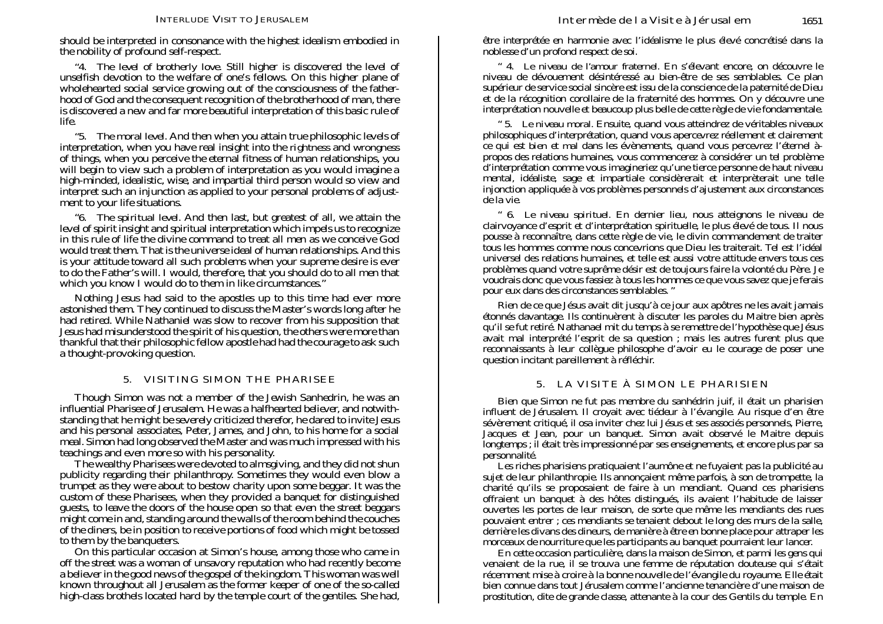#### INTERLUDE VISIT TO

should be interpreted in consonance with the highest idealism embodied in the nobility of profound self-respect.

"4. *The level of brotherly love.* Still higher is discovered the level of unselfish devotion to the welfare of one's fellows. On this higher plane of wholehearted social service growing out of the consciousness of the fatherhood of God and the consequent recognition of the brotherhood of man, there is discovered a new and far more beautiful interpretation of this basic rule of life.

"5. *The moral level.* And then when you attain true philosophic levels of interpretation, when you have real insight into the *rightness* and *wrongness* of things, when you perceive the eternal fitness of human relationships, you will begin to view such a problem of interpretation as you would imagine a high-minded, idealistic, wise, and impartial third person would so view and interpret such an injunction as applied to your personal problems of adjustment to your life situations.

"6. *The spiritual level.* And then last, but greatest of all, we attain the level of spirit insight and spiritual interpretation which impels us to recognize in this rule of life the divine command to treat all men as we conceive God would treat them. That is the universe ideal of human relationships. And this is your attitude toward all such problems when your supreme desire is ever to do the Father's will. I would, therefore, that you should do to all men that which you know I would do to them in like circumstances."

Nothing Jesus had said to the apostles up to this time had ever more astonished them. They continued to discuss the Master's words long after he had retired. While Nathaniel was slow to recover from his supposition that Jesus had misunderstood the spirit of his question, the others were more than thankful that their philosophic fellow apostle had had the courage to ask such a thought-provoking question.

#### 5. VISITING SIMON THE PHARISEE

Though Simon was not a member of the Jewish Sanhedrin, he was an influential Pharisee of Jerusalem. He was a halfhearted believer, and notwithstanding that he might be severely criticized therefor, he dared to invite Jesus and his personal associates, Peter, James, and John, to his home for a social meal. Simon had long observed the Master and was much impressed with his teachings and even more so with his personality.

The wealthy Pharisees were devoted to almsgiving, and they did not shun publicity regarding their philanthropy. Sometimes they would even blow a trumpet as they were about to bestow charity upon some beggar. It was the custom of these Pharisees, when they provided a banquet for distinguished guests, to leave the doors of the house open so that even the street beggars might come in and, standing around the walls of the room behind the couches of the diners, be in position to receive portions of food which might be tossed to them by the banqueters.

On this particular occasion at Simon's house, among those who came in off the street was a woman of unsavory reputation who had recently become a believer in the good news of the gospel of the kingdom. This woman was well known throughout all Jerusalem as the former keeper of one of the so-called high-class brothels located hard by the temple court of the gentiles. She had,

être interprétée en harmonie avec l'idéalisme le plus élevé concrétisé dans la noblesse d'un profond respect de soi.

" 4. *Le niveau de l'amour fraternel.* En s'élevant encore, on découvre le niveau de dévouement désintéressé au bien-être de ses semblables. Ce plan supérieur de service social sincère est issu de la conscience de la paternité de Dieu et de la récognition corollaire de la fraternité des hommes. On y découvre une interprétation nouvelle et beaucoup plus belle de cette règle de vie fondamentale.

" 5. *Le niveau moral.* Ensuite, quand vous atteindrez de véritables niveaux philosophiques d'interprétation, quand vous apercevrez réellement et clairement ce qui est *bien* et *mal* dans les évènements, quand vous percevrez l'éternel àpropos des relations humaines, vous commencerez à considérer un tel problème d'interprétation comme vous imagineriez qu'une tierce personne de haut niveau mental, idéaliste, sage et impartiale considèrerait et interprèterait une telle injonction appliquée à vos problèmes personnels d'ajustement aux circonstances de la vie.

" 6. *Le niveau spirituel.* En dernier lieu, nous atteignons le niveau de clairvoyance d'esprit et d'interprétation spirituelle, le plus élevé de tous. Il nous pousse à reconnaître, dans cette règle de vie, le divin commandement de traiter tous les hommes comme nous concevrions que Dieu les traiterait. Tel est l'idéal universel des relations humaines, et telle est aussi votre attitude envers tous ces problèmes quand votre suprême désir est de toujours faire la volonté du Père. Je voudrais donc que vous fassiez à tous les hommes ce que vous savez que je ferais pour eux dans des circonstances semblables. "

Rien de ce que Jésus avait dit jusqu'à ce jour aux apôtres ne les avait jamais étonnés davantage. Ils continuèrent à discuter les paroles du Maitre bien après qu'il se fut retiré. Nathanael mit du temps à se remettre de l'hypothèse que Jésus avait mal interprété l'esprit de sa question ; mais les autres furent plus que reconnaissants à leur collègue philosophe d'avoir eu le courage de poser une question incitant pareillement à réfléchir.

#### 5. LA VISITE À SIMON LE PHARISIEN

Bien que Simon ne fut pas membre du sanhédrin juif, il était un pharisien influent de Jérusalem. Il croyait avec tiédeur à l'évangile. Au risque d'en être sévèrement critiqué, il osa inviter chez lui Jésus et ses associés personnels, Pierre, Jacques et Jean, pour un banquet. Simon avait observé le Maitre depuis longtemps ; il était très impressionné par ses enseignements, et encore plus par sa personnalité.

Les riches pharisiens pratiquaient l'aumône et ne fuyaient pas la publicité au sujet de leur philanthropie. Ils annonçaient même parfois, à son de trompette, la charité qu'ils se proposaient de faire à un mendiant. Quand ces pharisiens offraient un banquet à des hôtes distingués, ils avaient l'habitude de laisser ouvertes les portes de leur maison, de sorte que même les mendiants des rues pouvaient entrer ; ces mendiants se tenaient debout le long des murs de la salle, derrière les divans des dineurs, de manière à être en bonne place pour attraper les morceaux de nourriture que les participants au banquet pourraient leur lancer.

En cette occasion particulière, dans la maison de Simon, et parmi les gens qui venaient de la rue, il se trouva une femme de réputation douteuse qui s'était récemment mise à croire à la bonne nouvelle de l'évangile du royaume. Elle était bien connue dans tout Jérusalem comme l'ancienne tenancière d'une maison de prostitution, dite de grande classe, attenante à la cour des Gentils du temple. En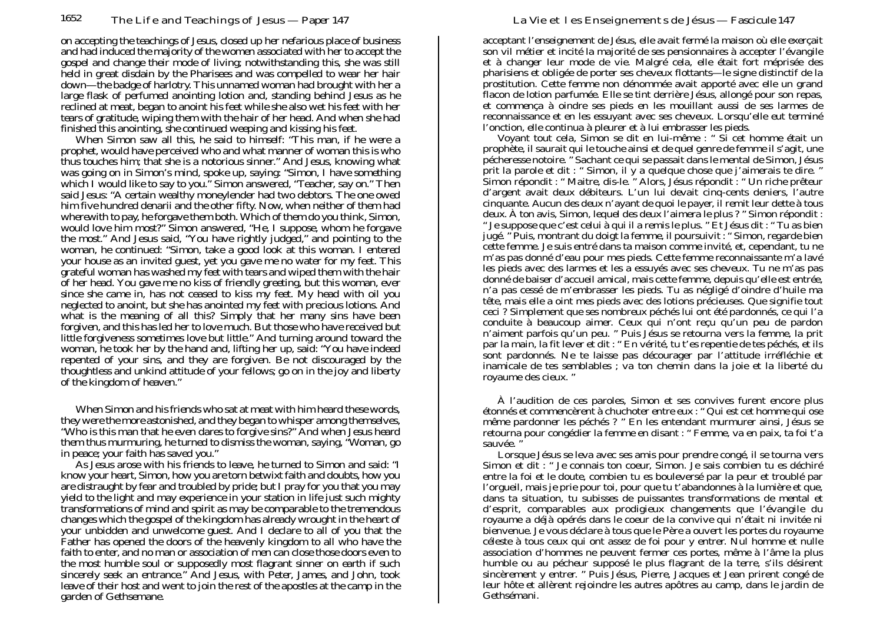on accepting the teachings of Jesus, closed up her nefarious place of business and had induced the majority of the women associated with her to accept the gospel and change their mode of living; notwithstanding this, she was still held in great disdain by the Pharisees and was compelled to wear her hair down—the badge of harlotry. This unnamed woman had brought with her a large flask of perfumed anointing lotion and, standing behind Jesus as he reclined at meat, began to anoint his feet while she also wet his feet with her tears of gratitude, wiping them with the hair of her head. And when she had finished this anointing, she continued weeping and kissing his feet.

When Simon saw all this, he said to himself: "This man, if he were a prophet, would have perceived who and what manner of woman this is who thus touches him; that she is a notorious sinner." And Jesus, knowing what was going on in Simon's mind, spoke up, saying: "Simon, I have something which I would like to say to you." Simon answered, "Teacher, say on." Then said Jesus: "A certain wealthy moneylender had two debtors. The one owed him five hundred denarii and the other fifty. Now, when neither of them had wherewith to pay, he forgave them both. Which of them do you think, Simon, would love him most?" Simon answered, "He, I suppose, whom he forgave the most." And Jesus said, "You have rightly judged," and pointing to the woman, he continued: "Simon, take a good look at this woman. I entered your house as an invited guest, yet you gave me no water for my feet. This grateful woman has washed my feet with tears and wiped them with the hair of her head. You gave me no kiss of friendly greeting, but this woman, ever since she came in, has not ceased to kiss my feet. My head with oil you neglected to anoint, but she has anointed my feet with precious lotions. And what is the meaning of all this? Simply that her many sins have been forgiven, and this has led her to love much. But those who have received but little forgiveness sometimes love but little." And turning around toward the woman, he took her by the hand and, lifting her up, said: "You have indeed repented of your sins, and they are forgiven. Be not discouraged by the thoughtless and unkind attitude of your fellows; go on in the joy and liberty of the kingdom of heaven."

When Simon and his friends who sat at meat with him heard these words, they were the more astonished, and they began to whisper among themselves, "Who is this man that he even dares to forgive sins?" And when Jesus heard them thus murmuring, he turned to dismiss the woman, saying, "Woman, go in peace; your faith has saved you."

As Jesus arose with his friends to leave, he turned to Simon and said: "I know your heart, Simon, how you are torn betwixt faith and doubts, how you are distraught by fear and troubled by pride; but I pray for you that you may yield to the light and may experience in your station in life just such mighty transformations of mind and spirit as may be comparable to the tremendous changes which the gospel of the kingdom has already wrought in the heart of your unbidden and unwelcome guest. And I declare to all of you that the Father has opened the doors of the heavenly kingdom to all who have the faith to enter, and no man or association of men can close those doors even to the most humble soul or supposedly most flagrant sinner on earth if such sincerely seek an entrance." And Jesus, with Peter, James, and John, took leave of their host and went to join the rest of the apostles at the camp in the garden of Gethsemane.

acceptant l'enseignement de Jésus, elle avait fermé la maison où elle exerçait son vil métier et incité la majorité de ses pensionnaires à accepter l'évangile et à changer leur mode de vie. Malgré cela, elle était fort méprisée des pharisiens et obligée de porter ses cheveux flottants—le signe distinctif de la prostitution. Cette femme non dénommée avait apporté avec elle un grand flacon de lotion parfumée. Elle se tint derrière Jésus, allongé pour son repas, et commença à oindre ses pieds en les mouillant aussi de ses larmes de reconnaissance et en les essuyant avec ses cheveux. Lorsqu'elle eut terminé l'onction, elle continua à pleurer et à lui embrasser les pieds.

Voyant tout cela, Simon se dit en lui-même : " Si cet homme était un prophète, il saurait qui le touche ainsi et de quel genre de femme il s'agit, une pécheresse notoire. " Sachant ce qui se passait dans le mental de Simon, Jésus prit la parole et dit : " Simon, il y a quelque chose que j'aimerais te dire. " Simon répondit : " Maitre, dis-le. " Alors, Jésus répondit : " Un riche prêteur d'argent avait deux débiteurs. L'un lui devait cinq-cents deniers, l'autre cinquante. Aucun des deux n'ayant de quoi le payer, il remit leur dette à tous deux. À ton avis, Simon, lequel des deux l'aimera le plus ? " Simon répondit : " Je suppose que c'est celui à qui il a remis le plus. " Et Jésus dit : " Tu as bien jugé. " Puis, montrant du doigt la femme, il poursuivit : " Simon, regarde bien cette femme. Je suis entré dans ta maison comme invité, et, cependant, tu ne <sup>m</sup>'as pas donné d'eau pour mes pieds. Cette femme reconnaissante m'a lavé les pieds avec des larmes et les a essuyés avec ses cheveux. Tu ne m'as pas donné de baiser d'accueil amical, mais cette femme, depuis qu'elle est entrée, <sup>n</sup>'a pas cessé de m'embrasser les pieds. Tu as négligé d'oindre d'huile ma tête, mais elle a oint mes pieds avec des lotions précieuses. Que signifie tout ceci ? Simplement que ses nombreux péchés lui ont été pardonnés, ce qui l'a conduite à beaucoup aimer. Ceux qui n'ont reçu qu'un peu de pardon <sup>n</sup>'aiment parfois qu'un peu. " Puis Jésus se retourna vers la femme, la prit par la main, la fit lever et dit : " En vérité, tu t'es repentie de tes péchés, et ils sont pardonnés. Ne te laisse pas décourager par l'attitude irréfléchie et inamicale de tes semblables ; va ton chemin dans la joie et la liberté du royaume des cieux. "

À l'audition de ces paroles, Simon et ses convives furent encore plus étonnés et commencèrent à chuchoter entre eux : " Qui est cet homme qui ose même pardonner les péchés ? " En les entendant murmurer ainsi, Jésus se retourna pour congédier la femme en disant : " Femme, va en paix, ta foi t'a sauvée.

Lorsque Jésus se leva avec ses amis pour prendre congé, il se tourna vers Simon et dit : " Je connais ton coeur, Simon. Je sais combien tu es déchiré entre la foi et le doute, combien tu es bouleversé par la peur et troublé par l'orgueil, mais je prie pour toi, pour que tu t'abandonnes à la lumière et que, dans ta situation, tu subisses de puissantes transformations de mental et d'esprit, comparables aux prodigieux changements que l'évangile du royaume a déjà opérés dans le coeur de la convive qui n'était ni invitée ni bienvenue. Je vous déclare à tous que le Père a ouvert les portes du royaume céleste à tous ceux qui ont assez de foi pour y entrer. Nul homme et nulle association d'hommes ne peuvent fermer ces portes, même à l'âme la plus humble ou au pécheur supposé le plus flagrant de la terre, s'ils désirent sincèrement y entrer. " Puis Jésus, Pierre, Jacques et Jean prirent congé de leur hôte et allèrent rejoindre les autres apôtres au camp, dans le jardin de Gethsémani.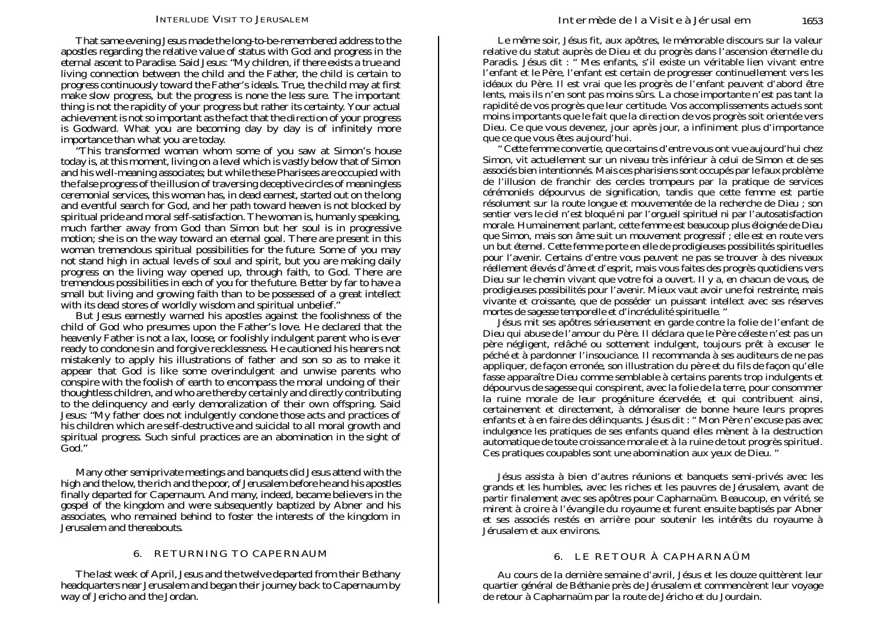That same evening Jesus made the long-to-be-remembered address to the apostles regarding the relative value of status with God and progress in the eternal ascent to Paradise. Said Jesus: "My children, if there exists a true and living connection between the child and the Father, the child is certain to progress continuously toward the Father's ideals. True, the child may at first make slow progress, but the progress is none the less sure. The important thing is not the rapidity of your progress but rather its certainty. Your actual achievement is not so important as the fact that the *direction* of your progress is Godward. What you are becoming day by day is of infinitely more importance than what you are today.

"This transformed woman whom some of you saw at Simon's house today is, at this moment, living on a level which is vastly below that of Simon and his well-meaning associates; but while these Pharisees are occupied with the false progress of the illusion of traversing deceptive circles of meaningless ceremonial services, this woman has, in dead earnest, started out on the long and eventful search for God, and her path toward heaven is not blocked by spiritual pride and moral self-satisfaction. The woman is, humanly speaking, much farther away from God than Simon but her soul is in progressive motion; she is on the way toward an eternal goal. There are present in this woman tremendous spiritual possibilities for the future. Some of you may not stand high in actual levels of soul and spirit, but you are making daily progress on the living way opened up, through faith, to God. There are tremendous possibilities in each of you for the future. Better by far to have a small but living and growing faith than to be possessed of a great intellect with its dead stores of worldly wisdom and spiritual unbelief.

But Jesus earnestly warned his apostles against the foolishness of the child of God who presumes upon the Father's love. He declared that the heavenly Father is not a lax, loose, or foolishly indulgent parent who is ever ready to condone sin and forgive recklessness. He cautioned his hearers not mistakenly to apply his illustrations of father and son so as to make it appear that God is like some overindulgent and unwise parents who conspire with the foolish of earth to encompass the moral undoing of their thoughtless children, and who are thereby certainly and directly contributing to the delinquency and early demoralization of their own offspring. Said Jesus: "My father does not indulgently condone those acts and practices of his children which are self-destructive and suicidal to all moral growth and spiritual progress. Such sinful practices are an abomination in the sight of God."

Many other semiprivate meetings and banquets did Jesus attend with the high and the low, the rich and the poor, of Jerusalem before he and his apostles finally departed for Capernaum. And many, indeed, became believers in the gospel of the kingdom and were subsequently baptized by Abner and his associates, who remained behind to foster the interests of the kingdom in Jerusalem and thereabouts.

#### 6. RETURNING TO CAPERNAUM

The last week of April, Jesus and the twelve departed from their Bethany headquarters near Jerusalem and began their journey back to Capernaum by way of Jericho and the Jordan.

Le même soir, Jésus fit, aux apôtres, le mémorable discours sur la valeur relative du statut auprès de Dieu et du progrès dans l'ascension éternelle du Paradis. Jésus dit : " Mes enfants, s'il existe un véritable lien vivant entre l'enfant et le Père, l'enfant est certain de progresser continuellement vers les idéaux du Père. Il est vrai que les progrès de l'enfant peuvent d'abord être lents, mais ils n'en sont pas moins sûrs. La chose importante n'est pas tant la rapidité de vos progrès que leur certitude. Vos accomplissements actuels sont moins importants que le fait que la *direction* de vos progrès soit orientée vers Dieu. Ce que vous devenez, jour après jour, a infiniment plus d'importance que ce que vous êtes aujourd'hui.

" Cette femme convertie, que certains d'entre vous ont vue aujourd'hui chez Simon, vit actuellement sur un niveau très inférieur à celui de Simon et de ses associés bien intentionnés. Mais ces pharisiens sont occupés par le faux problème de l'illusion de franchir des cercles trompeurs par la pratique de services cérémoniels dépourvus de signification, tandis que cette femme est partie résolument sur la route longue et mouvementée de la recherche de Dieu ; son sentier vers le ciel n'est bloqué ni par l'orgueil spirituel ni par l'autosatisfaction morale. Humainement parlant, cette femme est beaucoup plus éloignée de Dieu que Simon, mais son âme suit un mouvement progressif ; elle est en route vers un but éternel. Cette femme porte en elle de prodigieuses possibilités spirituelles pour l'avenir. Certains d'entre vous peuvent ne pas se trouver à des niveaux réellement élevés d'âme et d'esprit, mais vous faites des progrès quotidiens vers Dieu sur le chemin vivant que votre foi a ouvert. Il y a, en chacun de vous, de prodigieuses possibilités pour l'avenir. Mieux vaut avoir une foi restreinte, mais vivante et croissante, que de posséder un puissant intellect avec ses réserves mortes de sagesse temporelle et d'incrédulité spirituelle. "

Jésus mit ses apôtres sérieusement en garde contre la folie de l'enfant de Dieu qui abuse de l'amour du Père. Il déclara que le Père céleste n'est pas un père négligent, relâché ou sottement indulgent, toujours prêt à excuser le péché et à pardonner l'insouciance. Il recommanda à ses auditeurs de ne pas appliquer, de façon erronée, son illustration du père et du fils de façon qu'elle fasse apparaître Dieu comme semblable à certains parents trop indulgents et dépourvus de sagesse qui conspirent, avec la folie de la terre, pour consommer la ruine morale de leur progéniture écervelée, et qui contribuent ainsi, certainement et directement, à démoraliser de bonne heure leurs propres enfants et à en faire des délinquants. Jésus dit : " Mon Père n'excuse pas avec indulgence les pratiques de ses enfants quand elles mènent à la destruction automatique de toute croissance morale et à la ruine de tout progrès spirituel. Ces pratiques coupables sont une abomination aux yeux de Dieu. "

Jésus assista à bien d'autres réunions et banquets semi-privés avec les grands et les humbles, avec les riches et les pauvres de Jérusalem, avant de partir finalement avec ses apôtres pour Capharnaüm. Beaucoup, en vérité, se mirent à croire à l'évangile du royaume et furent ensuite baptisés par Abner et ses associés restés en arrière pour soutenir les intérêts du royaume à Jérusalem et aux environs.

# 6. LE RETOUR À CAPHARNAÜM

Au cours de la dernière semaine d'avril, Jésus et les douze quittèrent leur quartier général de Béthanie près de Jérusalem et commencèrent leur voyage de retour à Capharnaüm par la route de Jéricho et du Jourdain.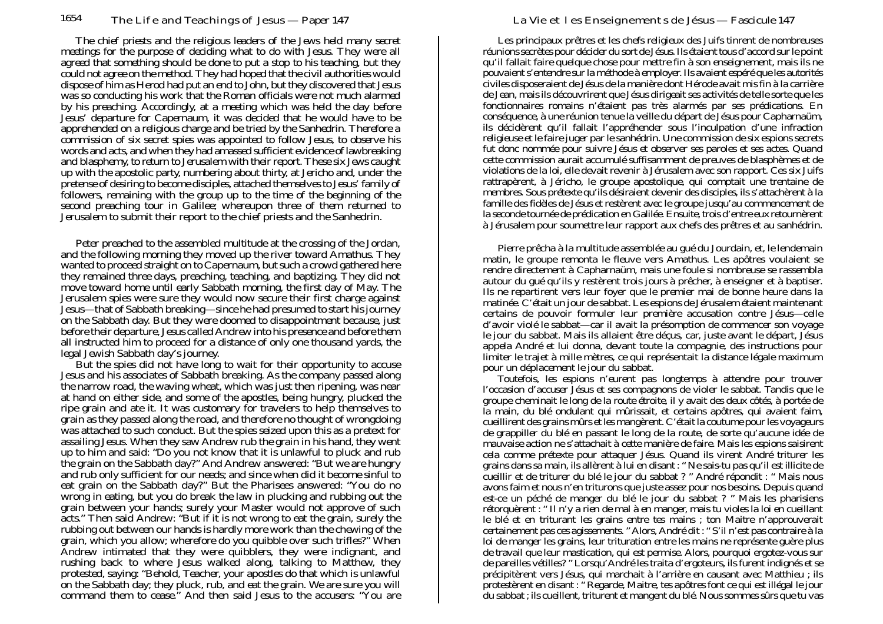The chief priests and the religious leaders of the Jews held many secret meetings for the purpose of deciding what to do with Jesus. They were all agreed that something should be done to put a stop to his teaching, but they could not agree on the method. They had hoped that the civil authorities would dispose of him as Herod had put an end to John, but they discovered that Jesus was so conducting his work that the Roman officials were not much alarmed by his preaching. Accordingly, at a meeting which was held the day before Jesus' departure for Capernaum, it was decided that he would have to be apprehended on a religious charge and be tried by the Sanhedrin. Therefore a commission of six secret spies was appointed to follow Jesus, to observe his words and acts, and when they had amassed sufficient evidence of lawbreaking and blasphemy, to return to Jerusalem with their report. These six Jews caught up with the apostolic party, numbering about thirty, at Jericho and, under the pretense of desiring to become disciples, attached themselves to Jesus' family of followers, remaining with the group up to the time of the beginning of the second preaching tour in Galilee; whereupon three of them returned to Jerusalem to submit their report to the chief priests and the Sanhedrin.

Peter preached to the assembled multitude at the crossing of the Jordan, and the following morning they moved up the river toward Amathus. They wanted to proceed straight on to Capernaum, but such a crowd gathered here they remained three days, preaching, teaching, and baptizing. They did not move toward home until early Sabbath morning, the first day of May. The Jerusalem spies were sure they would now secure their first charge against Jesus—that of Sabbath breaking—since he had presumed to start his journey on the Sabbath day. But they were doomed to disappointment because, just before their departure, Jesus called Andrew into his presence and before them all instructed him to proceed for a distance of only one thousand yards, the legal Jewish Sabbath day's journey.

But the spies did not have long to wait for their opportunity to accuse Jesus and his associates of Sabbath breaking. As the company passed along the narrow road, the waving wheat, which was just then ripening, was near at hand on either side, and some of the apostles, being hungry, plucked the ripe grain and ate it. It was customary for travelers to help themselves to grain as they passed along the road, and therefore no thought of wrongdoing was attached to such conduct. But the spies seized upon this as a pretext for assailing Jesus. When they saw Andrew rub the grain in his hand, they went up to him and said: "Do you not know that it is unlawful to pluck and rub the grain on the Sabbath day?" And Andrew answered: "But we are hungry and rub only sufficient for our needs; and since when did it become sinful to eat grain on the Sabbath day?" But the Pharisees answered: "You do no wrong in eating, but you do break the law in plucking and rubbing out the grain between your hands; surely your Master would not approve of such acts." Then said Andrew: "But if it is not wrong to eat the grain, surely the rubbing out between our hands is hardly more work than the chewing of the grain, which you allow; wherefore do you quibble over such trifles?" When Andrew intimated that they were quibblers, they were indignant, and rushing back to where Jesus walked along, talking to Matthew, they protested, saying: "Behold, Teacher, your apostles do that which is unlawful on the Sabbath day; they pluck, rub, and eat the grain. We are sure you will command them to cease." And then said Jesus to the accusers: "You are

Les principaux prêtres et les chefs religieux des Juifs tinrent de nombreuses réunions secrètes pour décider du sort de Jésus. Ils étaient tous d'accord sur le point qu'il fallait faire quelque chose pour mettre fin à son enseignement, mais ils ne pouvaient s'entendre sur la méthode à employer. Ils avaient espéré que les autorités civiles disposeraient de Jésus de la manière dont Hérode avait mis fin à la carrière de Jean, mais ils découvrirent que Jésus dirigeait ses activités de telle sorte que les fonctionnaires romains n'étaient pas très alarmés par ses prédications. En conséquence, à une réunion tenue la veille du départ de Jésus pour Capharnaüm, ils décidèrent qu'il fallait l'appréhender sous l'inculpation d'une infraction religieuse et le faire juger par le sanhédrin. Une commission de six espions secrets fut donc nommée pour suivre Jésus et observer ses paroles et ses actes. Quand cette commission aurait accumulé suffisamment de preuves de blasphèmes et de violations de la loi, elle devait revenir à Jérusalem avec son rapport. Ces six Juifs rattrapèrent, à Jéricho, le groupe apostolique, qui comptait une trentaine de membres. Sous prétexte qu'ils désiraient devenir des disciples, ils s'attachèrent à la famille des fidèles de Jésus et restèrent avec le groupe jusqu'au commencement de la seconde tournée de prédication en Galilée. Ensuite, trois d'entre eux retournèrent à Jérusalem pour soumettre leur rapport aux chefs des prêtres et au sanhédrin.

Pierre prêcha à la multitude assemblée au gué du Jourdain, et, le lendemain matin, le groupe remonta le fleuve vers Amathus. Les apôtres voulaient se rendre directement à Capharnaüm, mais une foule si nombreuse se rassembla autour du gué qu'ils y restèrent trois jours à prêcher, à enseigner et à baptiser. Ils ne repartirent vers leur foyer que le premier mai de bonne heure dans la matinée. C'était un jour de sabbat. Les espions de Jérusalem étaient maintenant certains de pouvoir formuler leur première accusation contre Jésus—celle d'avoir violé le sabbat—car il avait la présomption de commencer son voyage le jour du sabbat. Mais ils allaient être déçus, car, juste avant le départ, Jésus appela André et lui donna, devant toute la compagnie, des instructions pour limiter le trajet à mille mètres, ce qui représentait la distance légale maximum pour un déplacement le jour du sabbat.

Toutefois, les espions n'eurent pas longtemps à attendre pour trouver l'occasion d'accuser Jésus et ses compagnons de violer le sabbat. Tandis que le groupe cheminait le long de la route étroite, il y avait des deux côtés, à portée de la main, du blé ondulant qui mûrissait, et certains apôtres, qui avaient faim, cueillirent des grains mûrs et les mangèrent. C'était la coutume pour les voyageurs de grappiller du blé en passant le long de la route, de sorte qu'aucune idée de mauvaise action ne s'attachait à cette manière de faire. Mais les espions saisirent cela comme prétexte pour attaquer Jésus. Quand ils virent André triturer les grains dans sa main, ils allèrent à lui en disant : " Ne sais-tu pas qu'il est illicite de cueillir et de triturer du blé le jour du sabbat ? " André répondit : " Mais nous avons faim et nous n'en triturons que juste assez pour nos besoins. Depuis quand est-ce un péché de manger du blé le jour du sabbat ? " Mais les pharisiens rétorquèrent : " Il n'y a rien de mal à en manger, mais tu violes la loi en cueillant le blé et en triturant les grains entre tes mains ; ton Maitre n'approuverait certainement pas ces agissements. " Alors, André dit : " S'il n'est pas contraire à la loi de manger les grains, leur trituration entre les mains ne représente guère plus de travail que leur mastication, qui est permise. Alors, pourquoi ergotez-vous sur de pareilles vétilles? " Lorsqu'André les traita d'ergoteurs, ils furent indignés et se précipitèrent vers Jésus, qui marchait à l'arrière en causant avec Matthieu ; ils protestèrent en disant : " Regarde, Maitre, tes apôtres font ce qui est illégal le jour du sabbat ; ils cueillent, triturent et mangent du blé. Nous sommes sûrs que tu vas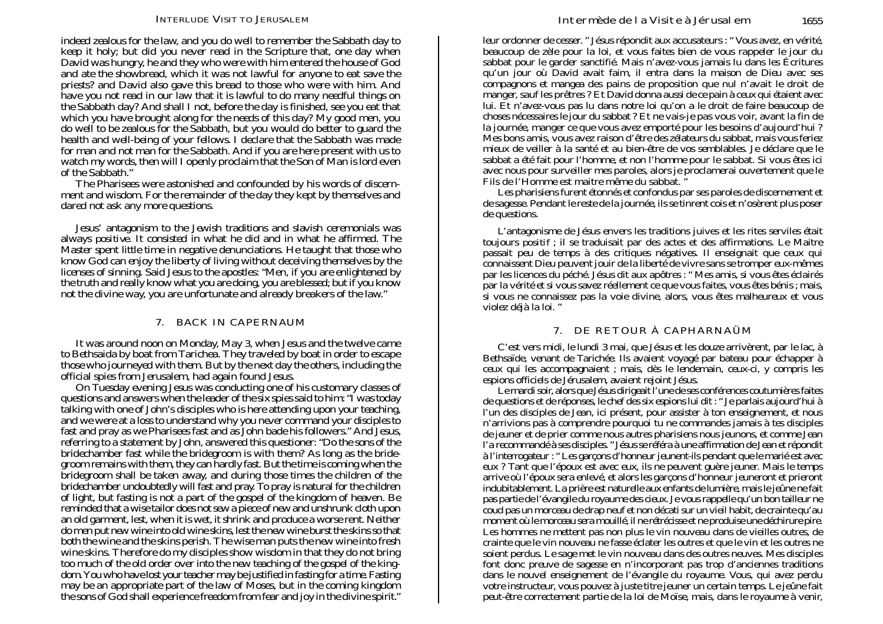### INTERLUDE VISIT TO

indeed zealous for the law, and you do well to remember the Sabbath day to keep it holy; but did you never read in the Scripture that, one day when David was hungry, he and they who were with him entered the house of God and ate the showbread, which it was not lawful for anyone to eat save the priests? and David also gave this bread to those who were with him. And have you not read in our law that it is lawful to do many needful things on the Sabbath day? And shall I not, before the day is finished, see you eat that which you have brought along for the needs of this day? My good men, you do well to be zealous for the Sabbath, but you would do better to guard the health and well-being of your fellows. I declare that the Sabbath was made for man and not man for the Sabbath. And if you are here present with us to watch my words, then will I openly proclaim that the Son of Man is lord even of the Sabbath."

The Pharisees were astonished and confounded by his words of discernment and wisdom. For the remainder of the day they kept by themselves and dared not ask any more questions.

Jesus' antagonism to the Jewish traditions and slavish ceremonials was always *positive.* It consisted in what he did and in what he affirmed. The Master spent little time in negative denunciations. He taught that those who know God can enjoy the liberty of living without deceiving themselves by the licenses of sinning. Said Jesus to the apostles: "Men, if you are enlightened by the truth and really know what you are doing, you are blessed; but if you know not the divine way, you are unfortunate and already breakers of the law."

#### 7. BACK IN CAPERNAUM

It was around noon on Monday, May 3, when Jesus and the twelve came to Bethsaida by boat from Tarichea. They traveled by boat in order to escape those who journeyed with them. But by the next day the others, including the official spies from Jerusalem, had again found Jesus.

On Tuesday evening Jesus was conducting one of his customary classes of questions and answers when the leader of the six spies said to him: "I was today talking with one of John's disciples who is here attending upon your teaching, and we were at a loss to understand why you never command your disciples to fast and pray as we Pharisees fast and as John bade his followers." And Jesus, referring to a statement by John, answered this questioner: "Do the sons of the bridechamber fast while the bridegroom is with them? As long as the bridegroom remains with them, they can hardly fast. But the time is coming when the bridegroom shall be taken away, and during those times the children of the bridechamber undoubtedly will fast and pray. To pray is natural for the children of light, but fasting is not a part of the gospel of the kingdom of heaven. Be reminded that a wise tailor does not sew a piece of new and unshrunk cloth upon an old garment, lest, when it is wet, it shrink and produce a worse rent. Neither do men put new wine into old wine skins, lest the new wine burst the skins so that both the wine and the skins perish. The wise man puts the new wine into fresh wine skins. Therefore do my disciples show wisdom in that they do not bring too much of the old order over into the new teaching of the gospel of the kingdom. You who have lost your teacher may be justified in fasting for a time. Fasting may be an appropriate part of the law of Moses, but in the coming kingdom the sons of God shall experience freedom from fear and joy in the divine spirit."

leur ordonner de cesser. " Jésus répondit aux accusateurs : " Vous avez, en vérité, beaucoup de zèle pour la loi, et vous faites bien de vous rappeler le jour du sabbat pour le garder sanctifié. Mais n'avez-vous jamais lu dans les Écritures qu'un jour où David avait faim, il entra dans la maison de Dieu avec ses compagnons et mangea des pains de proposition que nul n'avait le droit de manger, sauf les prêtres ? Et David donna aussi de ce pain à ceux qui étaient avec lui. Et n'avez-vous pas lu dans notre loi qu'on a le droit de faire beaucoup de choses nécessaires le jour du sabbat ? Et ne vais-je pas vous voir, avant la fin de la journée, manger ce que vous avez emporté pour les besoins d'aujourd'hui ? Mes bons amis, vous avez raison d'être des zélateurs du sabbat, mais vous feriez mieux de veiller à la santé et au bien-être de vos semblables. Je déclare que le sabbat a été fait pour l'homme, et non l'homme pour le sabbat. Si vous êtes ici avec nous pour surveiller mes paroles, alors je proclamerai ouvertement que le Fils de l'Homme est maitre même du sabbat. "

Les pharisiens furent étonnés et confondus par ses paroles de discernement et de sagesse. Pendant le reste de la journée, ils se tinrent cois et n'osèrent plus poser de questions.

L'antagonisme de Jésus envers les traditions juives et les rites serviles était toujours *positif* ; il se traduisait par des actes et des affirmations. Le Maitre passait peu de temps à des critiques négatives. Il enseignait que ceux qui connaissent Dieu peuvent jouir de la liberté de vivre sans se tromper eux-mêmes par les licences du péché. Jésus dit aux apôtres : " Mes amis, si vous êtes éclairés par la vérité et si vous savez réellement ce que vous faites, vous êtes bénis ; mais, si vous ne connaissez pas la voie divine, alors, vous êtes malheureux et vous violez déjà la loi. "

#### 7. DE RETOUR À CAPHARNAÜM

C'est vers midi, le lundi 3 mai, que Jésus et les douze arrivèrent, par le lac, à Bethsaïde, venant de Tarichée. Ils avaient voyagé par bateau pour échapper à ceux qui les accompagnaient ; mais, dès le lendemain, ceux-ci, y compris les espions officiels de Jérusalem, avaient rejoint Jésus.

Le mardi soir, alors que Jésus dirigeait l'une de ses conférences coutumières faites de questions et de réponses, le chef des six espions lui dit : " Je parlais aujourd'hui à l'un des disciples de Jean, ici présent, pour assister à ton enseignement, et nous <sup>n</sup>'arrivions pas à comprendre pourquoi tu ne commandes jamais à tes disciples de jeuner et de prier comme nous autres pharisiens nous jeunons, et comme Jean l'a recommandé à ses disciples. " Jésus se référa à une affirmation de Jean et répondit à l'interrogateur : " Les garçons d'honneur jeunent-ils pendant que le marié est avec eux ? Tant que l'époux est avec eux, ils ne peuvent guère jeuner. Mais le temps arrive où l'époux sera enlevé, et alors les garçons d'honneur jeuneront et prieront indubitablement. La prière est naturelle aux enfants de lumière, mais le jeûne ne fait pas partie de l'évangile du royaume des cieux. Je vous rappelle qu'un bon tailleur ne coud pas un morceau de drap neuf et non décati sur un vieil habit, de crainte qu'au moment où le morceau sera mouillé, il ne rétrécisse et ne produise une déchirure pire. Les hommes ne mettent pas non plus le vin nouveau dans de vieilles outres, de crainte que le vin nouveau ne fasse éclater les outres et que le vin et les outres ne soient perdus. Le sage met le vin nouveau dans des outres neuves. Mes disciples font donc preuve de sagesse en n'incorporant pas trop d'anciennes traditions dans le nouvel enseignement de l'évangile du royaume. Vous, qui avez perdu votre instructeur, vous pouvez à juste titre jeuner un certain temps. Le jeûne fait peut-être correctement partie de la loi de Moïse, mais, dans le royaume à venir,